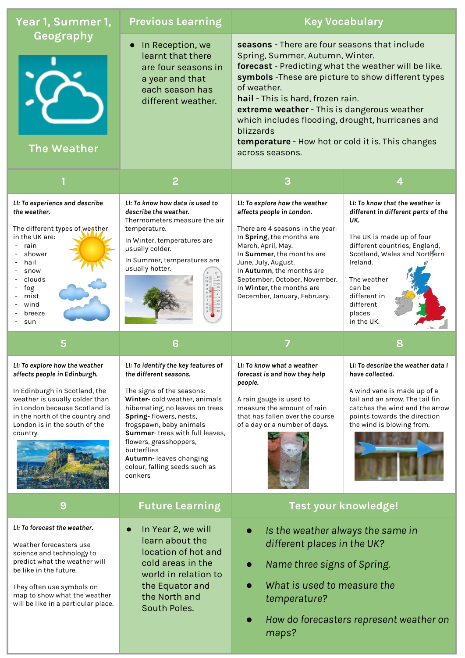| Year 1, Summer 1,                                                                                                                                                                                                                                  | <b>Previous Learning</b>                                                                                                                                                                                                                                                                                                                                            | <b>Key Vocabulary</b>                                                                                                                                                                                                                                                                                                                                                                                                                       |                                                                                                                                                                                                                                                                       |
|----------------------------------------------------------------------------------------------------------------------------------------------------------------------------------------------------------------------------------------------------|---------------------------------------------------------------------------------------------------------------------------------------------------------------------------------------------------------------------------------------------------------------------------------------------------------------------------------------------------------------------|---------------------------------------------------------------------------------------------------------------------------------------------------------------------------------------------------------------------------------------------------------------------------------------------------------------------------------------------------------------------------------------------------------------------------------------------|-----------------------------------------------------------------------------------------------------------------------------------------------------------------------------------------------------------------------------------------------------------------------|
| Geography<br><b>The Weather</b>                                                                                                                                                                                                                    | In Reception, we<br>learnt that there<br>are four seasons in<br>a year and that<br>each season has<br>different weather.                                                                                                                                                                                                                                            | seasons - There are four seasons that include<br>Spring, Summer, Autumn, Winter.<br>forecast - Predicting what the weather will be like.<br>symbols - These are picture to show different types<br>of weather.<br>hail - This is hard, frozen rain.<br>extreme weather - This is dangerous weather<br>which includes flooding, drought, hurricanes and<br>blizzards<br>temperature - How hot or cold it is. This changes<br>across seasons. |                                                                                                                                                                                                                                                                       |
|                                                                                                                                                                                                                                                    | $\overline{2}$                                                                                                                                                                                                                                                                                                                                                      | 3                                                                                                                                                                                                                                                                                                                                                                                                                                           | 4                                                                                                                                                                                                                                                                     |
| LI: To experience and describe<br>the weather.<br>The different types of weather<br>in the UK are:<br>rain<br>shower<br>hail<br>snow<br>clouds<br>fog<br>mist<br>wind<br>breeze<br>sun                                                             | LI: To know how data is used to<br>describe the weather.<br>Thermometers measure the air<br>temperature.<br>In Winter, temperatures are<br>usually colder.<br>In Summer, temperatures are<br>usually hotter.                                                                                                                                                        | LI: To explore how the weather<br>affects people in London.<br>There are 4 seasons in the year:<br>In Spring, the months are<br>March, April, May.<br>In Summer, the months are<br>June, July, August.<br>In Autumn, the months are<br>September, October, November.<br>In Winter, the months are<br>December, January, February.                                                                                                           | LI: To know that the weather is<br>different in different parts of the<br>UK.<br>The UK is made up of four<br>different countries, England,<br>Scotland, Wales and Northern<br>Ireland.<br>The weather<br>can be<br>different in<br>different<br>places<br>in the UK. |
|                                                                                                                                                                                                                                                    |                                                                                                                                                                                                                                                                                                                                                                     |                                                                                                                                                                                                                                                                                                                                                                                                                                             |                                                                                                                                                                                                                                                                       |
| 5                                                                                                                                                                                                                                                  | 6                                                                                                                                                                                                                                                                                                                                                                   |                                                                                                                                                                                                                                                                                                                                                                                                                                             | 8                                                                                                                                                                                                                                                                     |
| LI: To explore how the weather<br>affects people in Edinburgh.<br>In Edinburgh in Scotland, the<br>weather is usually colder than<br>in London because Scotland is<br>in the north of the country and<br>London is in the south of the<br>country. | LI: To identify the key features of<br>the different seasons.<br>The signs of the seasons:<br>Winter-cold weather, animals<br>hibernating, no leaves on trees<br>Spring-flowers, nests,<br>frogspawn, baby animals<br>Summer-trees with full leaves,<br>flowers, grasshoppers,<br>butterflies<br>Autumn-leaves changing<br>colour, falling seeds such as<br>conkers | LI: To know what a weather<br>forecast is and how they help<br>people.<br>A rain gauge is used to<br>measure the amount of rain<br>that has fallen over the course<br>of a day or a number of days.                                                                                                                                                                                                                                         | LI: To describe the weather data I<br>have collected.<br>A wind vane is made up of a<br>tail and an arrow. The tail fin<br>catches the wind and the arrow<br>points towards the direction<br>the wind is blowing from.                                                |
| 9                                                                                                                                                                                                                                                  | <b>Future Learning</b>                                                                                                                                                                                                                                                                                                                                              | Test your knowledge!                                                                                                                                                                                                                                                                                                                                                                                                                        |                                                                                                                                                                                                                                                                       |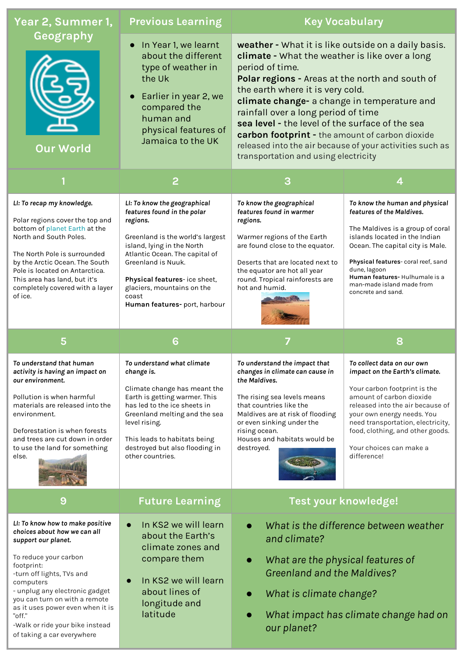| Year 2, Summer 1,                                                                                                                                                                                                                                                                                                                                          | <b>Previous Learning</b>                                                                                                                                                                                                                                                                                 |                                                                                                                                                                                                                                                                                                                                                                                                                                                                                                                 | <b>Key Vocabulary</b>                                                                                                                                                                                                                                                                                          |
|------------------------------------------------------------------------------------------------------------------------------------------------------------------------------------------------------------------------------------------------------------------------------------------------------------------------------------------------------------|----------------------------------------------------------------------------------------------------------------------------------------------------------------------------------------------------------------------------------------------------------------------------------------------------------|-----------------------------------------------------------------------------------------------------------------------------------------------------------------------------------------------------------------------------------------------------------------------------------------------------------------------------------------------------------------------------------------------------------------------------------------------------------------------------------------------------------------|----------------------------------------------------------------------------------------------------------------------------------------------------------------------------------------------------------------------------------------------------------------------------------------------------------------|
| Geography<br><b>Our World</b>                                                                                                                                                                                                                                                                                                                              | In Year 1, we learnt<br>about the different<br>type of weather in<br>the Uk<br>Earlier in year 2, we<br>compared the<br>human and<br>physical features of<br>Jamaica to the UK                                                                                                                           | weather - What it is like outside on a daily basis.<br>climate - What the weather is like over a long<br>period of time.<br>Polar regions - Areas at the north and south of<br>the earth where it is very cold.<br>climate change- a change in temperature and<br>rainfall over a long period of time<br>sea level - the level of the surface of the sea<br>carbon footprint - the amount of carbon dioxide<br>released into the air because of your activities such as<br>transportation and using electricity |                                                                                                                                                                                                                                                                                                                |
|                                                                                                                                                                                                                                                                                                                                                            | $\overline{2}$                                                                                                                                                                                                                                                                                           | 3                                                                                                                                                                                                                                                                                                                                                                                                                                                                                                               | 4                                                                                                                                                                                                                                                                                                              |
| LI: To recap my knowledge.<br>Polar regions cover the top and<br>bottom of planet Earth at the<br>North and South Poles.<br>The North Pole is surrounded<br>by the Arctic Ocean. The South<br>Pole is located on Antarctica.<br>This area has land, but it's<br>completely covered with a layer<br>of ice.                                                 | LI: To know the geographical<br>features found in the polar<br>regions.<br>Greenland is the world's largest<br>island, lying in the North<br>Atlantic Ocean. The capital of<br>Greenland is Nuuk.<br>Physical features-ice sheet,<br>glaciers, mountains on the<br>coast<br>Human features-port, harbour | To know the geographical<br>features found in warmer<br>regions.<br>Warmer regions of the Earth<br>are found close to the equator.<br>Deserts that are located next to<br>the equator are hot all year<br>round. Tropical rainforests are<br>hot and humid.                                                                                                                                                                                                                                                     | To know the human and physical<br>features of the Maldives.<br>The Maldives is a group of coral<br>islands located in the Indian<br>Ocean. The capital city is Male.<br>Physical features-coral reef, sand<br>dune, lagoon<br>Human features-Hulhumale is a<br>man-made island made from<br>concrete and sand. |
| 5                                                                                                                                                                                                                                                                                                                                                          | 6                                                                                                                                                                                                                                                                                                        |                                                                                                                                                                                                                                                                                                                                                                                                                                                                                                                 | 8                                                                                                                                                                                                                                                                                                              |
| To understand that human<br>activity is having an impact on<br>our environment.<br>Pollution is when harmful<br>materials are released into the<br>environment.<br>Deforestation is when forests<br>and trees are cut down in order<br>to use the land for something<br>else.                                                                              | To understand what climate<br>change is.<br>Climate change has meant the<br>Earth is getting warmer. This<br>has led to the ice sheets in<br>Greenland melting and the sea<br>level rising.<br>This leads to habitats being<br>destroyed but also flooding in<br>other countries.                        | To understand the impact that<br>changes in climate can cause in<br>the Maldives.<br>The rising sea levels means<br>that countries like the<br>Maldives are at risk of flooding<br>or even sinking under the<br>rising ocean.<br>Houses and habitats would be<br>destroyed.                                                                                                                                                                                                                                     | To collect data on our own<br>impact on the Earth's climate.<br>Your carbon footprint is the<br>amount of carbon dioxide<br>released into the air because of<br>your own energy needs. You<br>need transportation, electricity,<br>food, clothing, and other goods.<br>Your choices can make a<br>difference!  |
| 9                                                                                                                                                                                                                                                                                                                                                          | <b>Future Learning</b>                                                                                                                                                                                                                                                                                   | Test your knowledge!                                                                                                                                                                                                                                                                                                                                                                                                                                                                                            |                                                                                                                                                                                                                                                                                                                |
| LI: To know how to make positive<br>choices about how we can all<br>support our planet.<br>To reduce your carbon<br>footprint:<br>-turn off lights, TVs and<br>computers<br>- unplug any electronic gadget<br>you can turn on with a remote<br>as it uses power even when it is<br>"off."<br>-Walk or ride your bike instead<br>of taking a car everywhere | In KS2 we will learn<br>$\bullet$<br>about the Earth's<br>climate zones and<br>compare them<br>In KS2 we will learn<br>about lines of<br>longitude and<br>latitude                                                                                                                                       | and climate?<br>What are the physical features of<br>$\bullet$<br><b>Greenland and the Maldives?</b><br>What is climate change?<br>$\bullet$<br>our planet?                                                                                                                                                                                                                                                                                                                                                     | What is the difference between weather<br>What impact has climate change had on                                                                                                                                                                                                                                |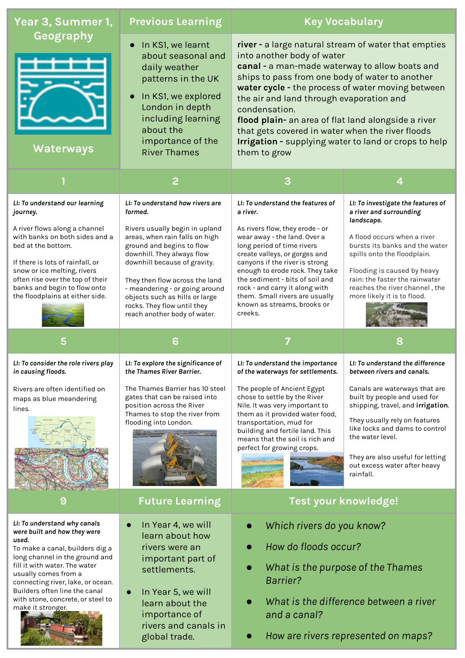| Year 3, Summer 1,                                                                                                                                                                                                                                               | <b>Previous Learning</b>                                                                                                                                                                                                                                                                                                         | <b>Key Vocabulary</b>                                                                                                                                                                                                                                                                                                                                                                                                                                                                         |                                                                                                                                                                                                                                                                            |
|-----------------------------------------------------------------------------------------------------------------------------------------------------------------------------------------------------------------------------------------------------------------|----------------------------------------------------------------------------------------------------------------------------------------------------------------------------------------------------------------------------------------------------------------------------------------------------------------------------------|-----------------------------------------------------------------------------------------------------------------------------------------------------------------------------------------------------------------------------------------------------------------------------------------------------------------------------------------------------------------------------------------------------------------------------------------------------------------------------------------------|----------------------------------------------------------------------------------------------------------------------------------------------------------------------------------------------------------------------------------------------------------------------------|
| Geography<br>Waterways                                                                                                                                                                                                                                          | In KS1, we learnt<br>about seasonal and<br>daily weather<br>patterns in the UK<br>In KS1, we explored<br>London in depth<br>including learning<br>about the<br>importance of the<br><b>River Thames</b>                                                                                                                          | river - a large natural stream of water that empties<br>into another body of water<br>canal - a man-made waterway to allow boats and<br>ships to pass from one body of water to another<br>water cycle - the process of water moving between<br>the air and land through evaporation and<br>condensation.<br>flood plain- an area of flat land alongside a river<br>that gets covered in water when the river floods<br>Irrigation - supplying water to land or crops to help<br>them to grow |                                                                                                                                                                                                                                                                            |
|                                                                                                                                                                                                                                                                 | 2                                                                                                                                                                                                                                                                                                                                | З                                                                                                                                                                                                                                                                                                                                                                                                                                                                                             | 4                                                                                                                                                                                                                                                                          |
| LI: To understand our learning<br>journey.                                                                                                                                                                                                                      | LI: To understand how rivers are<br>formed.                                                                                                                                                                                                                                                                                      | LI: To understand the features of<br>a river.                                                                                                                                                                                                                                                                                                                                                                                                                                                 | LI: To investigate the features of<br>a river and surrounding<br>landscape.                                                                                                                                                                                                |
| A river flows along a channel<br>with banks on both sides and a<br>bed at the bottom.<br>If there is lots of rainfall, or<br>snow or ice melting, rivers<br>often rise over the top of their<br>banks and begin to flow onto<br>the floodplains at either side. | Rivers usually begin in upland<br>areas, when rain falls on high<br>ground and begins to flow<br>downhill. They always flow<br>downhill because of gravity.<br>They then flow across the land<br>- meandering - or going around<br>objects such as hills or large<br>rocks. They flow until they<br>reach another body of water. | As rivers flow, they erode - or<br>wear away - the land. Over a<br>long period of time rivers<br>create valleys, or gorges and<br>canyons if the river is strong<br>enough to erode rock. They take<br>the sediment - bits of soil and<br>rock - and carry it along with<br>them. Small rivers are usually<br>known as streams, brooks or<br>creeks.                                                                                                                                          | A flood occurs when a river<br>bursts its banks and the water<br>spills onto the floodplain.<br>Flooding is caused by heavy<br>rain: the faster the rainwater<br>reaches the river channel, the<br>more likely it is to flood.                                             |
|                                                                                                                                                                                                                                                                 |                                                                                                                                                                                                                                                                                                                                  |                                                                                                                                                                                                                                                                                                                                                                                                                                                                                               |                                                                                                                                                                                                                                                                            |
| 5                                                                                                                                                                                                                                                               | 6                                                                                                                                                                                                                                                                                                                                | 7                                                                                                                                                                                                                                                                                                                                                                                                                                                                                             | 8                                                                                                                                                                                                                                                                          |
| LI: To consider the role rivers play<br>in causing floods.                                                                                                                                                                                                      | LI: To explore the significance of<br>the Thames River Barrier.                                                                                                                                                                                                                                                                  | LI: To understand the importance<br>of the waterways for settlements.                                                                                                                                                                                                                                                                                                                                                                                                                         | LI: To understand the difference<br>between rivers and canals.                                                                                                                                                                                                             |
| Rivers are often identified on<br>maps as blue meandering<br>lines.                                                                                                                                                                                             | The Thames Barrier has 10 steel<br>gates that can be raised into<br>position across the River<br>Thames to stop the river from<br>flooding into London.                                                                                                                                                                          | The people of Ancient Egypt<br>chose to settle by the River<br>Nile. It was very important to<br>them as it provided water food,<br>transportation, mud for<br>building and fertile land. This<br>means that the soil is rich and<br>perfect for growing crops.                                                                                                                                                                                                                               | Canals are waterways that are<br>built by people and used for<br>shipping, travel, and irrigation.<br>They usually rely on features<br>like locks and dams to control<br>the water level.<br>They are also useful for letting<br>out excess water after heavy<br>rainfall. |
| 9                                                                                                                                                                                                                                                               | <b>Future Learning</b>                                                                                                                                                                                                                                                                                                           | Test your knowledge!                                                                                                                                                                                                                                                                                                                                                                                                                                                                          |                                                                                                                                                                                                                                                                            |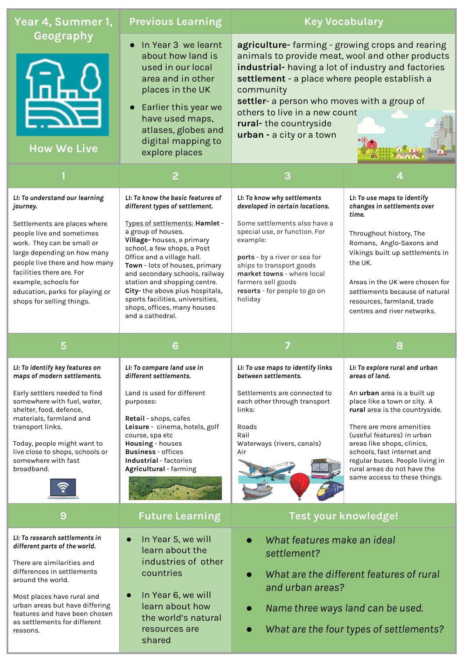| Year 4, Summer 1,                                                                                                                                                                                                                                                                                                           | <b>Previous Learning</b>                                                                                                                                                                                                                                                                                                                                                                                                                           |                                                                                                                                                                                                                                                                                                                                                               | <b>Key Vocabulary</b>                                                                                                                                                                                                                                                                                                                                                     |
|-----------------------------------------------------------------------------------------------------------------------------------------------------------------------------------------------------------------------------------------------------------------------------------------------------------------------------|----------------------------------------------------------------------------------------------------------------------------------------------------------------------------------------------------------------------------------------------------------------------------------------------------------------------------------------------------------------------------------------------------------------------------------------------------|---------------------------------------------------------------------------------------------------------------------------------------------------------------------------------------------------------------------------------------------------------------------------------------------------------------------------------------------------------------|---------------------------------------------------------------------------------------------------------------------------------------------------------------------------------------------------------------------------------------------------------------------------------------------------------------------------------------------------------------------------|
| Geography<br><b>How We Live</b>                                                                                                                                                                                                                                                                                             | In Year 3 we learnt<br>about how land is<br>used in our local<br>area and in other<br>places in the UK<br>• Earlier this year we<br>have used maps,<br>atlases, globes and<br>digital mapping to<br>explore places                                                                                                                                                                                                                                 | agriculture- farming - growing crops and rearing<br>animals to provide meat, wool and other products<br>industrial- having a lot of industry and factories<br>settlement - a place where people establish a<br>community<br>settler- a person who moves with a group of<br>others to live in a new count<br>rural-the countryside<br>urban - a city or a town |                                                                                                                                                                                                                                                                                                                                                                           |
|                                                                                                                                                                                                                                                                                                                             | 2                                                                                                                                                                                                                                                                                                                                                                                                                                                  | 3                                                                                                                                                                                                                                                                                                                                                             |                                                                                                                                                                                                                                                                                                                                                                           |
| LI: To understand our learning<br>journey.<br>Settlements are places where<br>people live and sometimes<br>work. They can be small or<br>large depending on how many<br>people live there and how many<br>facilities there are. For<br>example, schools for<br>education, parks for playing or<br>shops for selling things. | LI: To know the basic features of<br>different types of settlement.<br>Types of settlements: Hamlet -<br>a group of houses.<br>Village-houses, a primary<br>school, a few shops, a Post<br>Office and a village hall.<br>Town - lots of houses, primary<br>and secondary schools, railway<br>station and shopping centre.<br>City-the above plus hospitals,<br>sports facilities, universities,<br>shops, offices, many houses<br>and a cathedral. | LI: To know why settlements<br>developed in certain locations.<br>Some settlements also have a<br>special use, or function. For<br>example:<br>ports - by a river or sea for<br>ships to transport goods<br>market towns - where local<br>farmers sell goods<br>resorts - for people to go on<br>holiday                                                      | LI: To use maps to identify<br>changes in settlements over<br>time.<br>Throughout history, The<br>Romans, Anglo-Saxons and<br>Vikings built up settlements in<br>the UK.<br>Areas in the UK were chosen for<br>settlements because of natural<br>resources, farmland, trade<br>centres and river networks.                                                                |
| 5                                                                                                                                                                                                                                                                                                                           | 6                                                                                                                                                                                                                                                                                                                                                                                                                                                  |                                                                                                                                                                                                                                                                                                                                                               | 8                                                                                                                                                                                                                                                                                                                                                                         |
| LI: To identify key features on<br>maps of modern settlements.<br>Early settlers needed to find<br>somewhere with fuel, water,<br>shelter, food, defence,<br>materials, farmland and<br>transport links.<br>Today, people might want to<br>live close to shops, schools or<br>somewhere with fast<br>broadband.             | LI: To compare land use in<br>different settlements.<br>Land is used for different<br>purposes:<br>Retail - shops, cafes<br>Leisure - cinema, hotels, golf<br>course, spa etc<br>Housing - houses<br><b>Business</b> - offices<br>Industrial - factories<br>Agricultural - farming                                                                                                                                                                 | LI: To use maps to identify links<br>between settlements.<br>Settlements are connected to<br>each other through transport<br>links:<br>Roads<br>Rail<br>Waterways (rivers, canals)<br>Air                                                                                                                                                                     | LI: To explore rural and urban<br>areas of land.<br>An urban area is a built up<br>place like a town or city. A<br>rural area is the countryside.<br>There are more amenities<br>(useful features) in urban<br>areas like shops, clinics,<br>schools, fast internet and<br>regular buses. People living in<br>rural areas do not have the<br>same access to these things. |
| 9                                                                                                                                                                                                                                                                                                                           | <b>Future Learning</b>                                                                                                                                                                                                                                                                                                                                                                                                                             | Test your knowledge!                                                                                                                                                                                                                                                                                                                                          |                                                                                                                                                                                                                                                                                                                                                                           |
| LI: To research settlements in<br>different parts of the world.<br>There are similarities and<br>differences in settlements<br>around the world.<br>Most places have rural and<br>urban areas but have differing<br>features and have been chosen                                                                           | In Year 5, we will<br>$\bullet$<br>learn about the<br>industries of other<br>countries<br>In Year 6, we will<br>$\bullet$<br>learn about how                                                                                                                                                                                                                                                                                                       | What features make an ideal<br>settlement?<br>and urban areas?<br>$\bullet$                                                                                                                                                                                                                                                                                   | What are the different features of rural<br>Name three ways land can be used.                                                                                                                                                                                                                                                                                             |

shared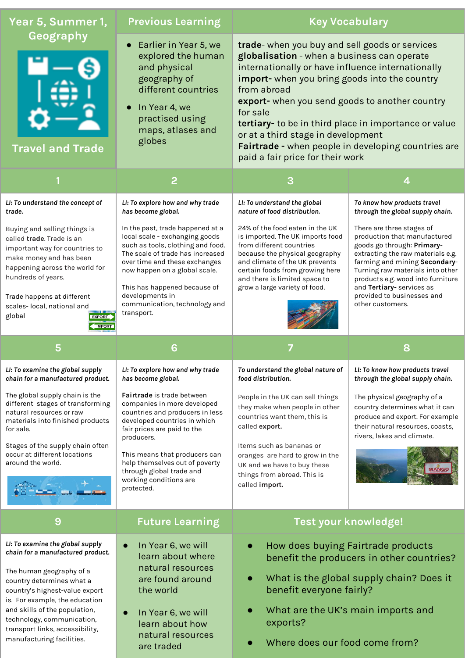| Year 5, Summer 1,                                                                                                                                                                                                                                                                      | <b>Previous Learning</b>                                                                                                                                                                                                                                                                                        | <b>Key Vocabulary</b>                                                                                                                                                                                                                                                                                                                                                                                                                                                      |                                                                                                                                                                                                                                                                                                                       |
|----------------------------------------------------------------------------------------------------------------------------------------------------------------------------------------------------------------------------------------------------------------------------------------|-----------------------------------------------------------------------------------------------------------------------------------------------------------------------------------------------------------------------------------------------------------------------------------------------------------------|----------------------------------------------------------------------------------------------------------------------------------------------------------------------------------------------------------------------------------------------------------------------------------------------------------------------------------------------------------------------------------------------------------------------------------------------------------------------------|-----------------------------------------------------------------------------------------------------------------------------------------------------------------------------------------------------------------------------------------------------------------------------------------------------------------------|
| Geography<br><b>Travel and Trade</b>                                                                                                                                                                                                                                                   | Earlier in Year 5, we<br>$\bullet$<br>explored the human<br>and physical<br>geography of<br>different countries<br>In Year 4, we<br>$\bullet$<br>practised using<br>maps, atlases and<br>globes                                                                                                                 | trade- when you buy and sell goods or services<br>globalisation - when a business can operate<br>internationally or have influence internationally<br>import- when you bring goods into the country<br>from abroad<br>export- when you send goods to another country<br>for sale<br>tertiary- to be in third place in importance or value<br>or at a third stage in development<br>Fairtrade - when people in developing countries are<br>paid a fair price for their work |                                                                                                                                                                                                                                                                                                                       |
|                                                                                                                                                                                                                                                                                        | 2                                                                                                                                                                                                                                                                                                               | 3                                                                                                                                                                                                                                                                                                                                                                                                                                                                          | 4                                                                                                                                                                                                                                                                                                                     |
| LI: To understand the concept of<br>trade.                                                                                                                                                                                                                                             | LI: To explore how and why trade<br>has become global.                                                                                                                                                                                                                                                          | LI: To understand the global<br>nature of food distribution.                                                                                                                                                                                                                                                                                                                                                                                                               | To know how products travel<br>through the global supply chain.                                                                                                                                                                                                                                                       |
| Buying and selling things is<br>called trade. Trade is an<br>important way for countries to<br>make money and has been<br>happening across the world for<br>hundreds of years.<br>Trade happens at different<br>scales-local, national and<br>global<br><b>EXPORT</b><br><b>IMPORT</b> | In the past, trade happened at a<br>local scale - exchanging goods<br>such as tools, clothing and food.<br>The scale of trade has increased<br>over time and these exchanges<br>now happen on a global scale.<br>This has happened because of<br>developments in<br>communication, technology and<br>transport. | 24% of the food eaten in the UK<br>is imported. The UK imports food<br>from different countries<br>because the physical geography<br>and climate of the UK prevents<br>certain foods from growing here<br>and there is limited space to<br>grow a large variety of food.                                                                                                                                                                                                   | There are three stages of<br>production that manufactured<br>goods go through: Primary-<br>extracting the raw materials e.g.<br>farming and mining Secondary-<br>Turning raw materials into other<br>products e.g. wood into furniture<br>and Tertiary- services as<br>provided to businesses and<br>other customers. |
| 5                                                                                                                                                                                                                                                                                      | 6                                                                                                                                                                                                                                                                                                               |                                                                                                                                                                                                                                                                                                                                                                                                                                                                            | 8                                                                                                                                                                                                                                                                                                                     |
| LI: To examine the global supply<br>chain for a manufactured product.                                                                                                                                                                                                                  | LI: To explore how and why trade<br>has become global.                                                                                                                                                                                                                                                          | To understand the global nature of                                                                                                                                                                                                                                                                                                                                                                                                                                         | LI: To know how products travel<br>through the global supply chain.                                                                                                                                                                                                                                                   |
|                                                                                                                                                                                                                                                                                        |                                                                                                                                                                                                                                                                                                                 | food distribution.                                                                                                                                                                                                                                                                                                                                                                                                                                                         |                                                                                                                                                                                                                                                                                                                       |
| The global supply chain is the<br>different stages of transforming<br>natural resources or raw<br>materials into finished products<br>for sale.                                                                                                                                        | <b>Fairtrade</b> is trade between<br>companies in more developed<br>countries and producers in less<br>developed countries in which<br>fair prices are paid to the                                                                                                                                              | People in the UK can sell things<br>they make when people in other<br>countries want them, this is<br>called export.                                                                                                                                                                                                                                                                                                                                                       | The physical geography of a<br>country determines what it can<br>produce and export. For example<br>their natural resources, coasts,<br>rivers, lakes and climate.                                                                                                                                                    |
| Stages of the supply chain often<br>occur at different locations<br>around the world.                                                                                                                                                                                                  | producers.<br>This means that producers can<br>help themselves out of poverty<br>through global trade and<br>working conditions are<br>protected.                                                                                                                                                               | Items such as bananas or<br>oranges are hard to grow in the<br>UK and we have to buy these<br>things from abroad. This is<br>called import.                                                                                                                                                                                                                                                                                                                                | <b>MANGO</b>                                                                                                                                                                                                                                                                                                          |
| 9                                                                                                                                                                                                                                                                                      | <b>Future Learning</b>                                                                                                                                                                                                                                                                                          | Test your knowledge!                                                                                                                                                                                                                                                                                                                                                                                                                                                       |                                                                                                                                                                                                                                                                                                                       |